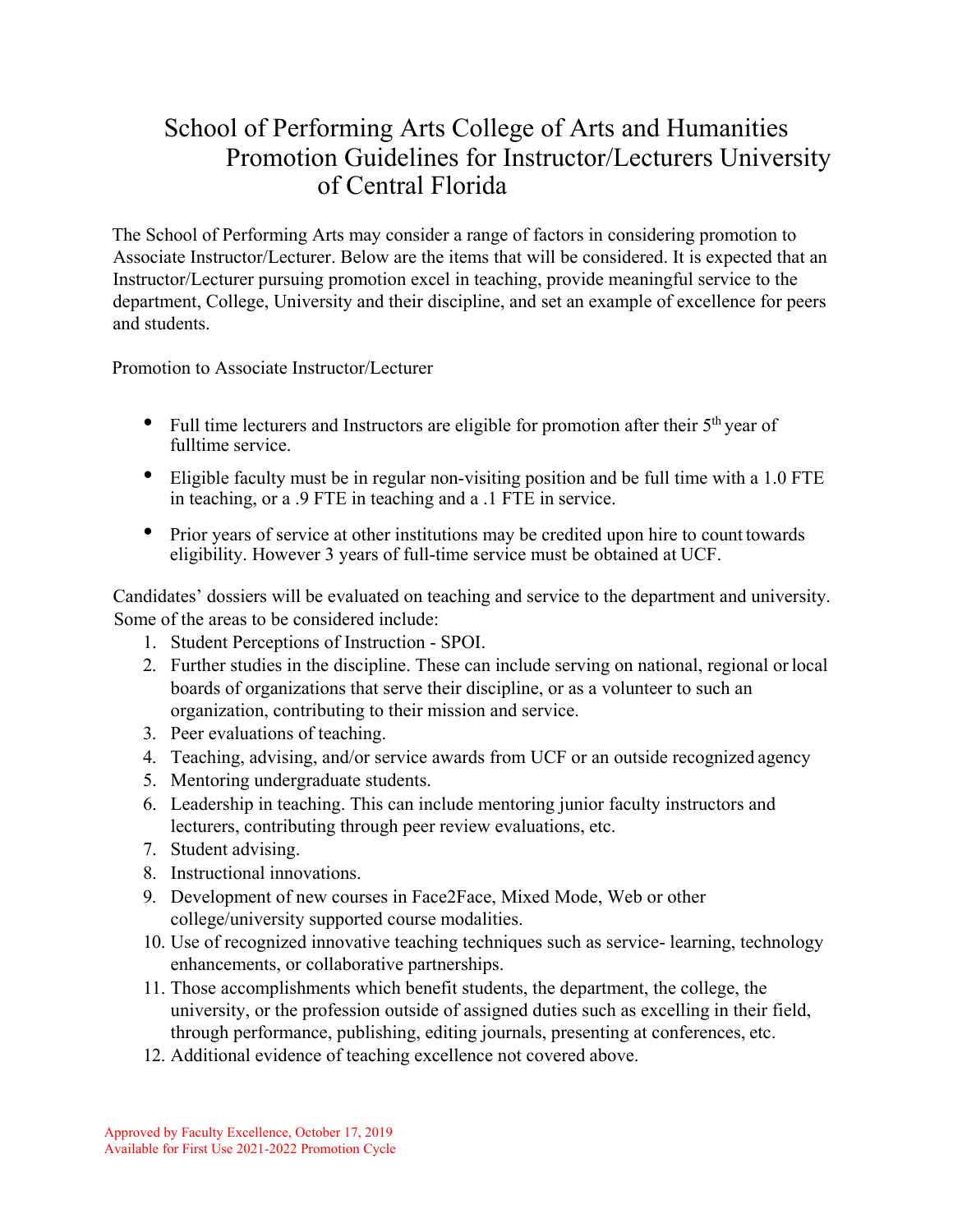## School of Performing Arts College of Arts and Humanities Promotion Guidelines for Instructor/Lecturers University of Central Florida

The School of Performing Arts may consider a range of factors in considering promotion to Associate Instructor/Lecturer. Below are the items that will be considered. It is expected that an Instructor/Lecturer pursuing promotion excel in teaching, provide meaningful service to the department, College, University and their discipline, and set an example of excellence for peers and students.

Promotion to Associate Instructor/Lecturer

- Full time lecturers and Instructors are eligible for promotion after their  $5<sup>th</sup>$  year of fulltime service.
- Eligible faculty must be in regular non-visiting position and be full time with a 1.0 FTE in teaching, or a .9 FTE in teaching and a .1 FTE in service.
- Prior years of service at other institutions may be credited upon hire to count towards eligibility. However 3 years of full-time service must be obtained at UCF.

Candidates' dossiers will be evaluated on teaching and service to the department and university. Some of the areas to be considered include:

- 1. Student Perceptions of Instruction SPOI.
- 2. Further studies in the discipline. These can include serving on national, regional orlocal boards of organizations that serve their discipline, or as a volunteer to such an organization, contributing to their mission and service.
- 3. Peer evaluations of teaching.
- 4. Teaching, advising, and/or service awards from UCF or an outside recognized agency
- 5. Mentoring undergraduate students.
- 6. Leadership in teaching. This can include mentoring junior faculty instructors and lecturers, contributing through peer review evaluations, etc.
- 7. Student advising.
- 8. Instructional innovations.
- 9. Development of new courses in Face2Face, Mixed Mode, Web or other college/university supported course modalities.
- 10. Use of recognized innovative teaching techniques such as service- learning, technology enhancements, or collaborative partnerships.
- 11. Those accomplishments which benefit students, the department, the college, the university, or the profession outside of assigned duties such as excelling in their field, through performance, publishing, editing journals, presenting at conferences, etc.
- 12. Additional evidence of teaching excellence not covered above.